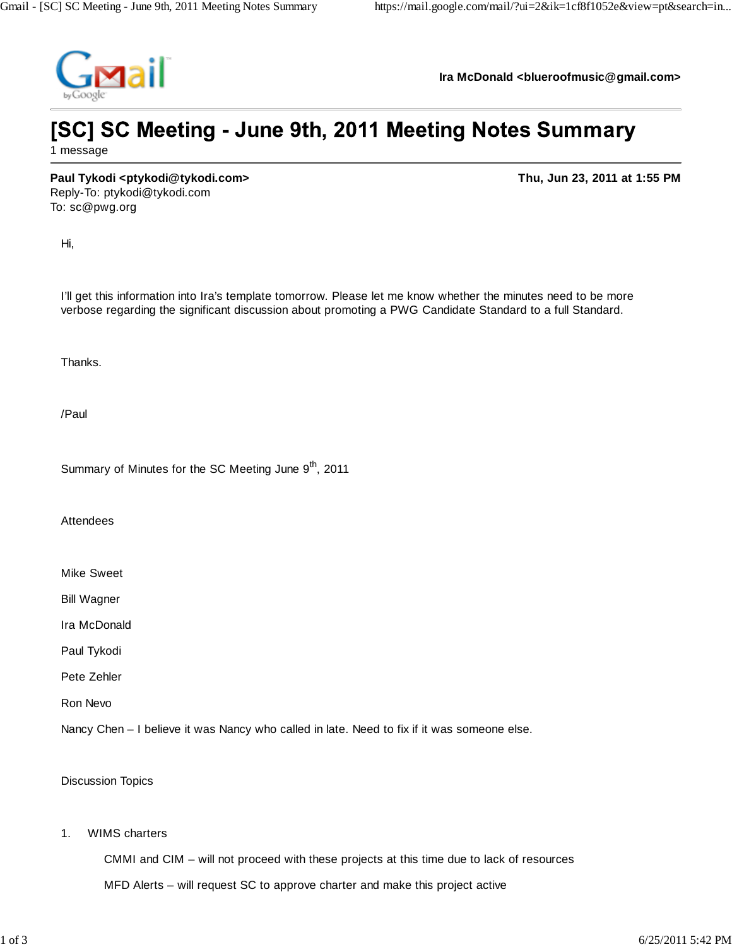

**Ira McDonald <blueroofmusic@gmail.com>**

## [SC] SC Meeting - June 9th, 2011 Meeting Notes Summary 1 message

**Paul Tykodi <ptykodi@tykodi.com> Thu, Jun 23, 2011 at 1:55 PM** Reply-To: ptykodi@tykodi.com

Hi,

To: sc@pwg.org

I'll get this information into Ira's template tomorrow. Please let me know whether the minutes need to be more verbose regarding the significant discussion about promoting a PWG Candidate Standard to a full Standard.

Thanks.

/Paul

Summary of Minutes for the SC Meeting June 9<sup>th</sup>, 2011

Attendees

Mike Sweet

Bill Wagner

Ira McDonald

Paul Tykodi

Pete Zehler

Ron Nevo

Nancy Chen – I believe it was Nancy who called in late. Need to fix if it was someone else.

Discussion Topics

1. WIMS charters

CMMI and CIM – will not proceed with these projects at this time due to lack of resources

MFD Alerts – will request SC to approve charter and make this project active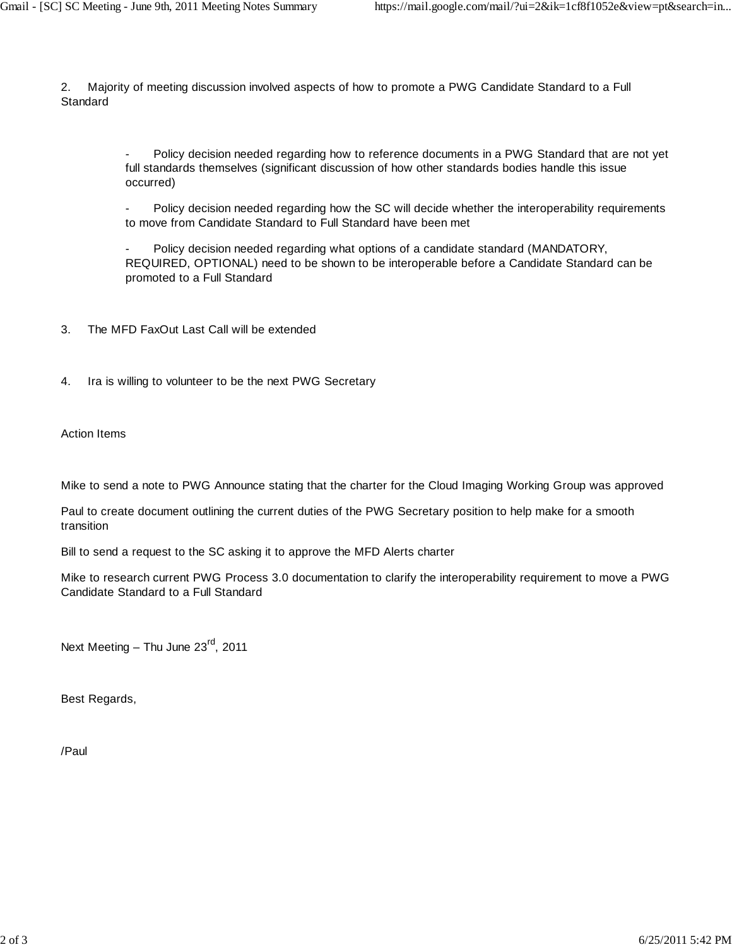2. Majority of meeting discussion involved aspects of how to promote a PWG Candidate Standard to a Full **Standard** 

> Policy decision needed regarding how to reference documents in a PWG Standard that are not yet full standards themselves (significant discussion of how other standards bodies handle this issue occurred)

> Policy decision needed regarding how the SC will decide whether the interoperability requirements to move from Candidate Standard to Full Standard have been met

Policy decision needed regarding what options of a candidate standard (MANDATORY, REQUIRED, OPTIONAL) need to be shown to be interoperable before a Candidate Standard can be promoted to a Full Standard

- 3. The MFD FaxOut Last Call will be extended
- 4. Ira is willing to volunteer to be the next PWG Secretary

Action Items

Mike to send a note to PWG Announce stating that the charter for the Cloud Imaging Working Group was approved

Paul to create document outlining the current duties of the PWG Secretary position to help make for a smooth transition

Bill to send a request to the SC asking it to approve the MFD Alerts charter

Mike to research current PWG Process 3.0 documentation to clarify the interoperability requirement to move a PWG Candidate Standard to a Full Standard

Next Meeting - Thu June 23<sup>rd</sup>, 2011

Best Regards,

/Paul